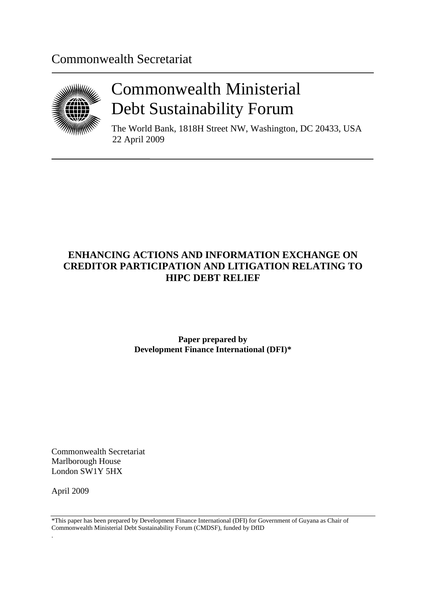# Commonwealth Secretariat



# Commonwealth Ministerial Debt Sustainability Forum

The World Bank, 1818H Street NW, Washington, DC 20433, USA 22 April 2009

# **ENHANCING ACTIONS AND INFORMATION EXCHANGE ON CREDITOR PARTICIPATION AND LITIGATION RELATING TO HIPC DEBT RELIEF**

**Paper prepared by Development Finance International (DFI)\***

Commonwealth Secretariat Marlborough House London SW1Y 5HX

April 2009

.

\*This paper has been prepared by Development Finance International (DFI) for Government of Guyana as Chair of Commonwealth Ministerial Debt Sustainability Forum (CMDSF), funded by DfID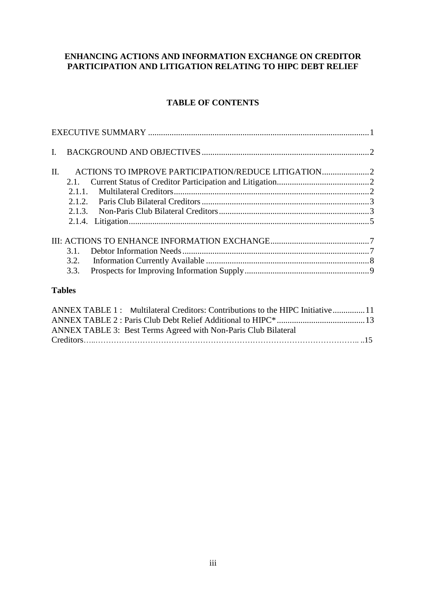# **ENHANCING ACTIONS AND INFORMATION EXCHANGE ON CREDITOR PARTICIPATION AND LITIGATION RELATING TO HIPC DEBT RELIEF**

# **TABLE OF CONTENTS**

| $\mathbf{I}$ . |      |                                                    |  |
|----------------|------|----------------------------------------------------|--|
| II.            | 2.1. | ACTIONS TO IMPROVE PARTICIPATION/REDUCE LITIGATION |  |
|                |      |                                                    |  |
|                |      |                                                    |  |
|                |      |                                                    |  |
|                |      |                                                    |  |
|                |      |                                                    |  |
|                | 3.1. |                                                    |  |
|                | 3.2. |                                                    |  |
|                | 3.3. |                                                    |  |
|                |      |                                                    |  |

#### **Tables**

| ANNEX TABLE 1: Multilateral Creditors: Contributions to the HIPC Initiative11 |  |
|-------------------------------------------------------------------------------|--|
|                                                                               |  |
| ANNEX TABLE 3: Best Terms Agreed with Non-Paris Club Bilateral                |  |
|                                                                               |  |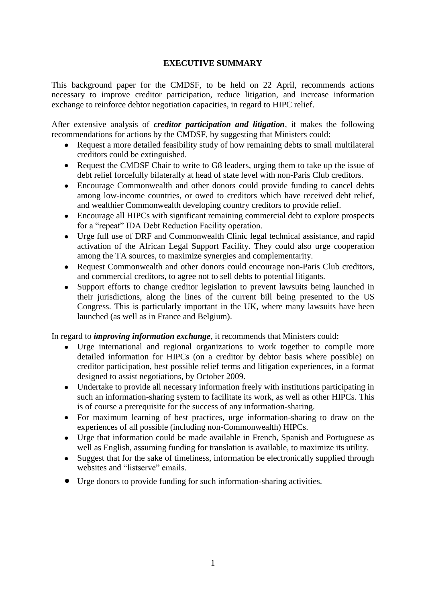# **EXECUTIVE SUMMARY**

<span id="page-4-0"></span>This background paper for the CMDSF, to be held on 22 April, recommends actions necessary to improve creditor participation, reduce litigation, and increase information exchange to reinforce debtor negotiation capacities, in regard to HIPC relief.

After extensive analysis of *creditor participation and litigation*, it makes the following recommendations for actions by the CMDSF, by suggesting that Ministers could:

- $\bullet$ Request a more detailed feasibility study of how remaining debts to small multilateral creditors could be extinguished.
- Request the CMDSF Chair to write to G8 leaders, urging them to take up the issue of debt relief forcefully bilaterally at head of state level with non-Paris Club creditors.
- Encourage Commonwealth and other donors could provide funding to cancel debts  $\bullet$ among low-income countries, or owed to creditors which have received debt relief, and wealthier Commonwealth developing country creditors to provide relief.
- Encourage all HIPCs with significant remaining commercial debt to explore prospects  $\bullet$ for a "repeat" IDA Debt Reduction Facility operation.
- Urge full use of DRF and Commonwealth Clinic legal technical assistance, and rapid activation of the African Legal Support Facility. They could also urge cooperation among the TA sources, to maximize synergies and complementarity.
- $\bullet$ Request Commonwealth and other donors could encourage non-Paris Club creditors, and commercial creditors, to agree not to sell debts to potential litigants.
- Support efforts to change creditor legislation to prevent lawsuits being launched in  $\bullet$ their jurisdictions, along the lines of the current bill being presented to the US Congress. This is particularly important in the UK, where many lawsuits have been launched (as well as in France and Belgium).

In regard to *improving information exchange*, it recommends that Ministers could:

- Urge international and regional organizations to work together to compile more detailed information for HIPCs (on a creditor by debtor basis where possible) on creditor participation, best possible relief terms and litigation experiences, in a format designed to assist negotiations, by October 2009.
- Undertake to provide all necessary information freely with institutions participating in  $\bullet$ such an information-sharing system to facilitate its work, as well as other HIPCs. This is of course a prerequisite for the success of any information-sharing.
- For maximum learning of best practices, urge information-sharing to draw on the  $\bullet$ experiences of all possible (including non-Commonwealth) HIPCs.
- Urge that information could be made available in French, Spanish and Portuguese as  $\bullet$ well as English, assuming funding for translation is available, to maximize its utility.
- Suggest that for the sake of timeliness, information be electronically supplied through websites and "listserve" emails.
- Urge donors to provide funding for such information-sharing activities.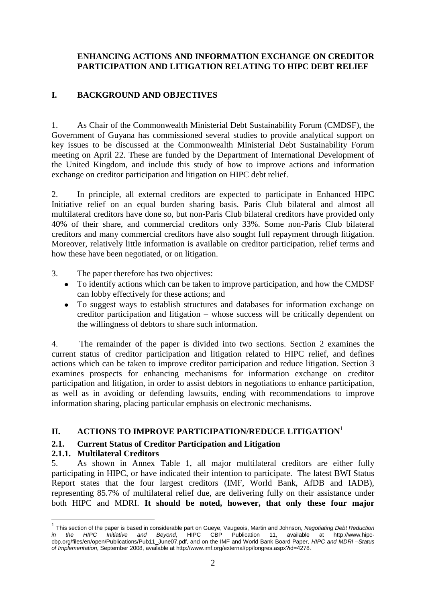# **ENHANCING ACTIONS AND INFORMATION EXCHANGE ON CREDITOR PARTICIPATION AND LITIGATION RELATING TO HIPC DEBT RELIEF**

# <span id="page-5-0"></span>**I. BACKGROUND AND OBJECTIVES**

1. As Chair of the Commonwealth Ministerial Debt Sustainability Forum (CMDSF), the Government of Guyana has commissioned several studies to provide analytical support on key issues to be discussed at the Commonwealth Ministerial Debt Sustainability Forum meeting on April 22. These are funded by the Department of International Development of the United Kingdom, and include this study of how to improve actions and information exchange on creditor participation and litigation on HIPC debt relief.

2. In principle, all external creditors are expected to participate in Enhanced HIPC Initiative relief on an equal burden sharing basis. Paris Club bilateral and almost all multilateral creditors have done so, but non-Paris Club bilateral creditors have provided only 40% of their share, and commercial creditors only 33%. Some non-Paris Club bilateral creditors and many commercial creditors have also sought full repayment through litigation. Moreover, relatively little information is available on creditor participation, relief terms and how these have been negotiated, or on litigation.

- 3. The paper therefore has two objectives:
	- To identify actions which can be taken to improve participation, and how the CMDSF can lobby effectively for these actions; and
	- To suggest ways to establish structures and databases for information exchange on creditor participation and litigation – whose success will be critically dependent on the willingness of debtors to share such information.

4. The remainder of the paper is divided into two sections. Section 2 examines the current status of creditor participation and litigation related to HIPC relief, and defines actions which can be taken to improve creditor participation and reduce litigation. Section 3 examines prospects for enhancing mechanisms for information exchange on creditor participation and litigation, in order to assist debtors in negotiations to enhance participation, as well as in avoiding or defending lawsuits, ending with recommendations to improve information sharing, placing particular emphasis on electronic mechanisms.

# <span id="page-5-1"></span>**II. ACTIONS TO IMPROVE PARTICIPATION/REDUCE LITIGATION**<sup>1</sup>

# <span id="page-5-2"></span>**2.1. Current Status of Creditor Participation and Litigation**

#### <span id="page-5-3"></span>**2.1.1. Multilateral Creditors**

<u>.</u>

5. As shown in Annex Table 1, all major multilateral creditors are either fully participating in HIPC, or have indicated their intention to participate. The latest BWI Status Report states that the four largest creditors (IMF, World Bank, AfDB and IADB), representing 85.7% of multilateral relief due, are delivering fully on their assistance under both HIPC and MDRI. **It should be noted, however, that only these four major** 

<sup>1</sup> This section of the paper is based in considerable part on Gueye, Vaugeois, Martin and Johnson, *Negotiating Debt Reduction in the HIPC Initiative and Beyond*, HIPC CBP Publication 11, available at http://www.hipccbp.org/files/en/open/Publications/Pub11\_June07.pdf, and on the IMF and World Bank Board Paper, *HIPC and MDRI –Status of Implementation*, September 2008, available at http://www.imf.org/external/pp/longres.aspx?id=4278.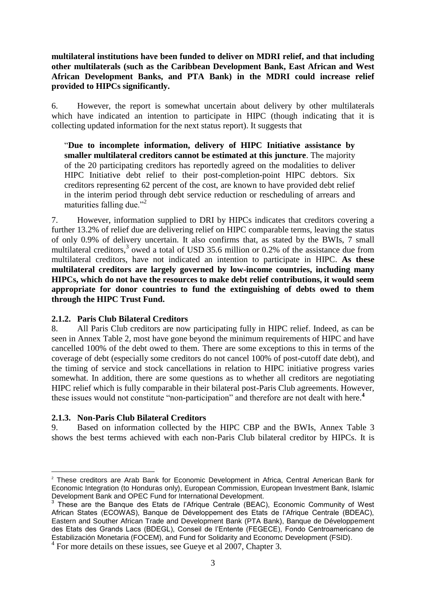**multilateral institutions have been funded to deliver on MDRI relief, and that including other multilaterals (such as the Caribbean Development Bank, East African and West African Development Banks, and PTA Bank) in the MDRI could increase relief provided to HIPCs significantly.** 

6. However, the report is somewhat uncertain about delivery by other multilaterals which have indicated an intention to participate in HIPC (though indicating that it is collecting updated information for the next status report). It suggests that

"**Due to incomplete information, delivery of HIPC Initiative assistance by smaller multilateral creditors cannot be estimated at this juncture**. The majority of the 20 participating creditors has reportedly agreed on the modalities to deliver HIPC Initiative debt relief to their post-completion-point HIPC debtors. Six creditors representing 62 percent of the cost, are known to have provided debt relief in the interim period through debt service reduction or rescheduling of arrears and maturities falling due."<sup>2</sup>

7. However, information supplied to DRI by HIPCs indicates that creditors covering a further 13.2% of relief due are delivering relief on HIPC comparable terms, leaving the status of only 0.9% of delivery uncertain. It also confirms that, as stated by the BWIs, 7 small multilateral creditors,<sup>3</sup> owed a total of USD 35.6 million or 0.2% of the assistance due from multilateral creditors, have not indicated an intention to participate in HIPC. **As these multilateral creditors are largely governed by low-income countries, including many HIPCs, which do not have the resources to make debt relief contributions, it would seem appropriate for donor countries to fund the extinguishing of debts owed to them through the HIPC Trust Fund.** 

#### <span id="page-6-0"></span>**2.1.2. Paris Club Bilateral Creditors**

8. All Paris Club creditors are now participating fully in HIPC relief. Indeed, as can be seen in Annex Table 2, most have gone beyond the minimum requirements of HIPC and have cancelled 100% of the debt owed to them. There are some exceptions to this in terms of the coverage of debt (especially some creditors do not cancel 100% of post-cutoff date debt), and the timing of service and stock cancellations in relation to HIPC initiative progress varies somewhat. In addition, there are some questions as to whether all creditors are negotiating HIPC relief which is fully comparable in their bilateral post-Paris Club agreements. However, these issues would not constitute "non-participation" and therefore are not dealt with here. **4**

# <span id="page-6-1"></span>**2.1.3. Non-Paris Club Bilateral Creditors**

1

9. Based on information collected by the HIPC CBP and the BWIs, Annex Table 3 shows the best terms achieved with each non-Paris Club bilateral creditor by HIPCs. It is

<sup>&</sup>lt;sup>2</sup> These creditors are Arab Bank for Economic Development in Africa, Central American Bank for Economic Integration (to Honduras only), European Commission, European Investment Bank, Islamic Development Bank and OPEC Fund for International Development.

<sup>&</sup>lt;sup>3</sup> These are the Banque des Etats de l'Afrique Centrale (BEAC), Economic Community of West African States (ECOWAS), Banque de Développement des Etats de l'Afrique Centrale (BDEAC), Eastern and Souther African Trade and Development Bank (PTA Bank), Banque de Développement des Etats des Grands Lacs (BDEGL), Conseil de l'Entente (FEGECE), Fondo Centroamericano de Estabilización Monetaria (FOCEM), and Fund for Solidarity and Economc Development (FSID).

<sup>&</sup>lt;sup>4</sup> For more details on these issues, see Gueye et al 2007, Chapter 3.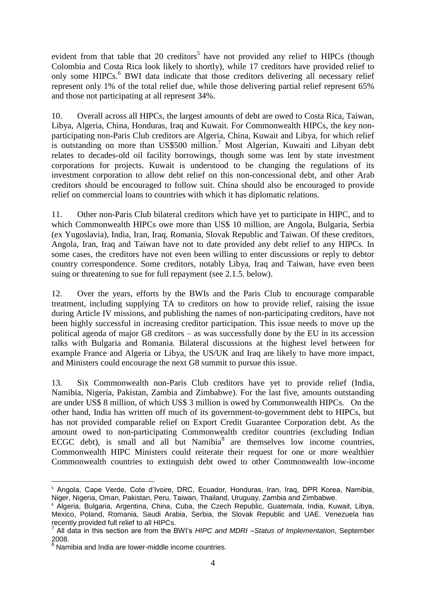evident from that table that 20 creditors<sup>5</sup> have not provided any relief to HIPCs (though Colombia and Costa Rica look likely to shortly), while 17 creditors have provided relief to only some HIPCs.<sup>6</sup> BWI data indicate that those creditors delivering all necessary relief represent only 1% of the total relief due, while those delivering partial relief represent 65% and those not participating at all represent 34%.

10. Overall across all HIPCs, the largest amounts of debt are owed to Costa Rica, Taiwan, Libya, Algeria, China, Honduras, Iraq and Kuwait. For Commonwealth HIPCs, the key nonparticipating non-Paris Club creditors are Algeria, China, Kuwait and Libya, for which relief is outstanding on more than  $US$500$  million.<sup>7</sup> Most Algerian, Kuwaiti and Libyan debt relates to decades-old oil facility borrowings, though some was lent by state investment corporations for projects. Kuwait is understood to be changing the regulations of its investment corporation to allow debt relief on this non-concessional debt, and other Arab creditors should be encouraged to follow suit. China should also be encouraged to provide relief on commercial loans to countries with which it has diplomatic relations.

11. Other non-Paris Club bilateral creditors which have yet to participate in HIPC, and to which Commonwealth HIPCs owe more than US\$ 10 million, are Angola, Bulgaria, Serbia (ex Yugoslavia), India, Iran, Iraq, Romania, Slovak Republic and Taiwan. Of these creditors, Angola, Iran, Iraq and Taiwan have not to date provided any debt relief to any HIPCs. In some cases, the creditors have not even been willing to enter discussions or reply to debtor country correspondence. Some creditors, notably Libya, Iraq and Taiwan, have even been suing or threatening to sue for full repayment (see 2.1.5. below).

12. Over the years, efforts by the BWIs and the Paris Club to encourage comparable treatment, including supplying TA to creditors on how to provide relief, raising the issue during Article IV missions, and publishing the names of non-participating creditors, have not been highly successful in increasing creditor participation. This issue needs to move up the political agenda of major G8 creditors – as was successfully done by the EU in its accession talks with Bulgaria and Romania. Bilateral discussions at the highest level between for example France and Algeria or Libya, the US/UK and Iraq are likely to have more impact, and Ministers could encourage the next G8 summit to pursue this issue.

13. Six Commonwealth non-Paris Club creditors have yet to provide relief (India, Namibia, Nigeria, Pakistan, Zambia and Zimbabwe). For the last five, amounts outstanding are under US\$ 8 million, of which US\$ 3 million is owed by Commonwealth HIPCs. On the other hand, India has written off much of its government-to-government debt to HIPCs, but has not provided comparable relief on Export Credit Guarantee Corporation debt. As the amount owed to non-participating Commonwealth creditor countries (excluding Indian ECGC debt), is small and all but Namibia<sup>8</sup> are themselves low income countries, Commonwealth HIPC Ministers could reiterate their request for one or more wealthier Commonwealth countries to extinguish debt owed to other Commonwealth low-income

<sup>&</sup>lt;u>.</u> <sup>5</sup> Angola, Cape Verde, Cote d'Ivoire, DRC, Ecuador, Honduras, Iran, Iraq, DPR Korea, Namibia, Niger, Nigeria, Oman, Pakistan, Peru, Taiwan, Thailand, Uruguay, Zambia and Zimbabwe.

<sup>&</sup>lt;sup>6</sup> Algeria, Bulgaria, Argentina, China, Cuba, the Czech Republic, Guatemala, India, Kuwait, Libya, Mexico, Poland, Romania, Saudi Arabia, Serbia, the Slovak Republic and UAE. Venezuela has recently provided full relief to all HIPCs.

<sup>7</sup> All data in this section are from the BWI's *HIPC and MDRI –Status of Implementation*, September  $2008.8$ 

Namibia and India are lower-middle income countries.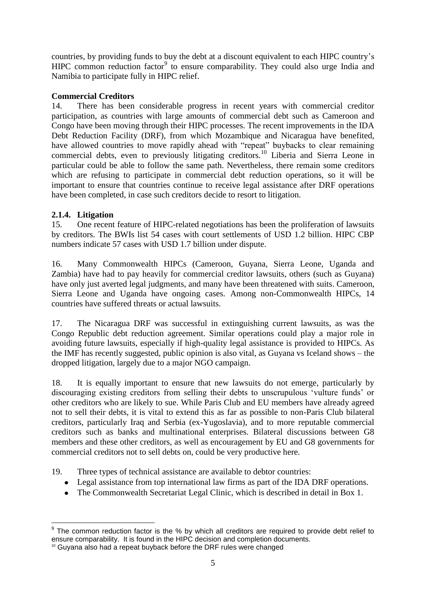countries, by providing funds to buy the debt at a discount equivalent to each HIPC country"s HIPC common reduction factor<sup>9</sup> to ensure comparability. They could also urge India and Namibia to participate fully in HIPC relief.

# **Commercial Creditors**

14. There has been considerable progress in recent years with commercial creditor participation, as countries with large amounts of commercial debt such as Cameroon and Congo have been moving through their HIPC processes. The recent improvements in the IDA Debt Reduction Facility (DRF), from which Mozambique and Nicaragua have benefited, have allowed countries to move rapidly ahead with "repeat" buybacks to clear remaining commercial debts, even to previously litigating creditors.<sup>10</sup> Liberia and Sierra Leone in particular could be able to follow the same path. Nevertheless, there remain some creditors which are refusing to participate in commercial debt reduction operations, so it will be important to ensure that countries continue to receive legal assistance after DRF operations have been completed, in case such creditors decide to resort to litigation.

# <span id="page-8-0"></span>**2.1.4. Litigation**

15. One recent feature of HIPC-related negotiations has been the proliferation of lawsuits by creditors. The BWIs list 54 cases with court settlements of USD 1.2 billion. HIPC CBP numbers indicate 57 cases with USD 1.7 billion under dispute.

16. Many Commonwealth HIPCs (Cameroon, Guyana, Sierra Leone, Uganda and Zambia) have had to pay heavily for commercial creditor lawsuits, others (such as Guyana) have only just averted legal judgments, and many have been threatened with suits. Cameroon, Sierra Leone and Uganda have ongoing cases. Among non-Commonwealth HIPCs, 14 countries have suffered threats or actual lawsuits.

17. The Nicaragua DRF was successful in extinguishing current lawsuits, as was the Congo Republic debt reduction agreement. Similar operations could play a major role in avoiding future lawsuits, especially if high-quality legal assistance is provided to HIPCs. As the IMF has recently suggested, public opinion is also vital, as Guyana vs Iceland shows – the dropped litigation, largely due to a major NGO campaign.

18. It is equally important to ensure that new lawsuits do not emerge, particularly by discouraging existing creditors from selling their debts to unscrupulous "vulture funds" or other creditors who are likely to sue. While Paris Club and EU members have already agreed not to sell their debts, it is vital to extend this as far as possible to non-Paris Club bilateral creditors, particularly Iraq and Serbia (ex-Yugoslavia), and to more reputable commercial creditors such as banks and multinational enterprises. Bilateral discussions between G8 members and these other creditors, as well as encouragement by EU and G8 governments for commercial creditors not to sell debts on, could be very productive here.

19. Three types of technical assistance are available to debtor countries:

- Legal assistance from top international law firms as part of the IDA DRF operations.
- The Commonwealth Secretariat Legal Clinic, which is described in detail in Box 1.

 9 The common reduction factor is the % by which all creditors are required to provide debt relief to ensure comparability. It is found in the HIPC decision and completion documents.

<sup>&</sup>lt;sup>10</sup> Guyana also had a repeat buyback before the DRF rules were changed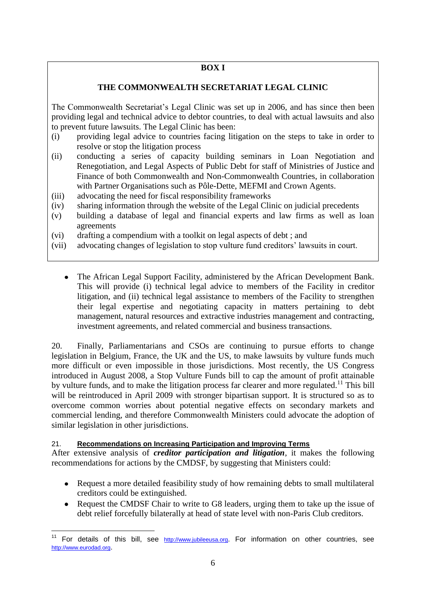# **BOX I**

# **THE COMMONWEALTH SECRETARIAT LEGAL CLINIC**

The Commonwealth Secretariat"s Legal Clinic was set up in 2006, and has since then been providing legal and technical advice to debtor countries, to deal with actual lawsuits and also to prevent future lawsuits. The Legal Clinic has been:

- (i) providing legal advice to countries facing litigation on the steps to take in order to resolve or stop the litigation process
- (ii) conducting a series of capacity building seminars in Loan Negotiation and Renegotiation, and Legal Aspects of Public Debt for staff of Ministries of Justice and Finance of both Commonwealth and Non-Commonwealth Countries, in collaboration with Partner Organisations such as Pôle-Dette, MEFMI and Crown Agents.
- (iii) advocating the need for fiscal responsibility frameworks
- (iv) sharing information through the website of the Legal Clinic on judicial precedents
- (v) building a database of legal and financial experts and law firms as well as loan agreements
- (vi) drafting a compendium with a toolkit on legal aspects of debt ; and
- (vii) advocating changes of legislation to stop vulture fund creditors" lawsuits in court.
	- The African Legal Support Facility, administered by the African Development Bank. This will provide (i) technical legal advice to members of the Facility in creditor litigation, and (ii) technical legal assistance to members of the Facility to strengthen their legal expertise and negotiating capacity in matters pertaining to debt management, natural resources and extractive industries management and contracting, investment agreements, and related commercial and business transactions.

20. Finally, Parliamentarians and CSOs are continuing to pursue efforts to change legislation in Belgium, France, the UK and the US, to make lawsuits by vulture funds much more difficult or even impossible in those jurisdictions. Most recently, the US Congress introduced in August 2008, a Stop Vulture Funds bill to cap the amount of profit attainable by vulture funds, and to make the litigation process far clearer and more regulated.<sup>11</sup> This bill will be reintroduced in April 2009 with stronger bipartisan support. It is structured so as to overcome common worries about potential negative effects on secondary markets and commercial lending, and therefore Commonwealth Ministers could advocate the adoption of similar legislation in other jurisdictions.

#### 21. **Recommendations on Increasing Participation and Improving Terms**

1

After extensive analysis of *creditor participation and litigation*, it makes the following recommendations for actions by the CMDSF, by suggesting that Ministers could:

- Request a more detailed feasibility study of how remaining debts to small multilateral  $\bullet$ creditors could be extinguished.
- Request the CMDSF Chair to write to G8 leaders, urging them to take up the issue of debt relief forcefully bilaterally at head of state level with non-Paris Club creditors.

<sup>&</sup>lt;sup>11</sup> For details of this bill, see [http://www.jubileeusa.org](http://www.jubileeusa.org/). For information on other countries, see [http://www.eurodad.org](http://www.eurodad.org/).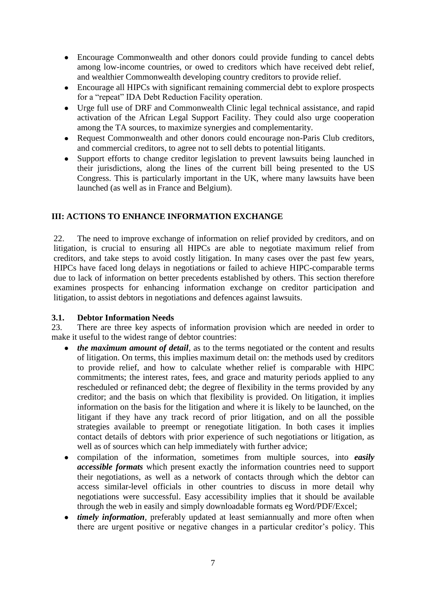- $\bullet$ Encourage Commonwealth and other donors could provide funding to cancel debts among low-income countries, or owed to creditors which have received debt relief, and wealthier Commonwealth developing country creditors to provide relief.
- Encourage all HIPCs with significant remaining commercial debt to explore prospects  $\bullet$ for a "repeat" IDA Debt Reduction Facility operation.
- Urge full use of DRF and Commonwealth Clinic legal technical assistance, and rapid  $\bullet$ activation of the African Legal Support Facility. They could also urge cooperation among the TA sources, to maximize synergies and complementarity.
- Request Commonwealth and other donors could encourage non-Paris Club creditors,  $\bullet$ and commercial creditors, to agree not to sell debts to potential litigants.
- Support efforts to change creditor legislation to prevent lawsuits being launched in  $\bullet$ their jurisdictions, along the lines of the current bill being presented to the US Congress. This is particularly important in the UK, where many lawsuits have been launched (as well as in France and Belgium).

# <span id="page-10-0"></span>**III: ACTIONS TO ENHANCE INFORMATION EXCHANGE**

22. The need to improve exchange of information on relief provided by creditors, and on litigation, is crucial to ensuring all HIPCs are able to negotiate maximum relief from creditors, and take steps to avoid costly litigation. In many cases over the past few years, HIPCs have faced long delays in negotiations or failed to achieve HIPC-comparable terms due to lack of information on better precedents established by others. This section therefore examines prospects for enhancing information exchange on creditor participation and litigation, to assist debtors in negotiations and defences against lawsuits.

# <span id="page-10-1"></span>**3.1. Debtor Information Needs**

23. There are three key aspects of information provision which are needed in order to make it useful to the widest range of debtor countries:

- *the maximum amount of detail*, as to the terms negotiated or the content and results of litigation. On terms, this implies maximum detail on: the methods used by creditors to provide relief, and how to calculate whether relief is comparable with HIPC commitments; the interest rates, fees, and grace and maturity periods applied to any rescheduled or refinanced debt; the degree of flexibility in the terms provided by any creditor; and the basis on which that flexibility is provided. On litigation, it implies information on the basis for the litigation and where it is likely to be launched, on the litigant if they have any track record of prior litigation, and on all the possible strategies available to preempt or renegotiate litigation. In both cases it implies contact details of debtors with prior experience of such negotiations or litigation, as well as of sources which can help immediately with further advice;
- $\bullet$ compilation of the information, sometimes from multiple sources, into *easily accessible formats* which present exactly the information countries need to support their negotiations, as well as a network of contacts through which the debtor can access similar-level officials in other countries to discuss in more detail why negotiations were successful. Easy accessibility implies that it should be available through the web in easily and simply downloadable formats eg Word/PDF/Excel;
- *timely information*, preferably updated at least semiannually and more often when  $\bullet$ there are urgent positive or negative changes in a particular creditor"s policy. This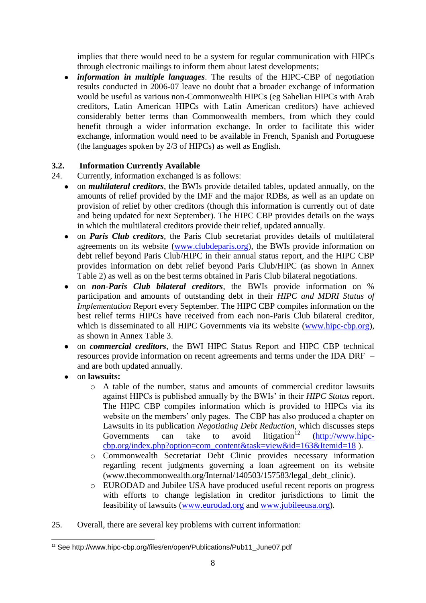implies that there would need to be a system for regular communication with HIPCs through electronic mailings to inform them about latest developments;

*information in multiple languages*. The results of the HIPC-CBP of negotiation  $\bullet$ results conducted in 2006-07 leave no doubt that a broader exchange of information would be useful as various non-Commonwealth HIPCs (eg Sahelian HIPCs with Arab creditors, Latin American HIPCs with Latin American creditors) have achieved considerably better terms than Commonwealth members, from which they could benefit through a wider information exchange. In order to facilitate this wider exchange, information would need to be available in French, Spanish and Portuguese (the languages spoken by 2/3 of HIPCs) as well as English.

# <span id="page-11-0"></span>**3.2. Information Currently Available**

24. Currently, information exchanged is as follows:

- on *multilateral creditors*, the BWIs provide detailed tables, updated annually, on the amounts of relief provided by the IMF and the major RDBs, as well as an update on provision of relief by other creditors (though this information is currently out of date and being updated for next September). The HIPC CBP provides details on the ways in which the multilateral creditors provide their relief, updated annually.
- on *Paris Club creditors*, the Paris Club secretariat provides details of multilateral  $\bullet$ agreements on its website [\(www.clubdeparis.org\)](http://www.clubdeparis.org/), the BWIs provide information on debt relief beyond Paris Club/HIPC in their annual status report, and the HIPC CBP provides information on debt relief beyond Paris Club/HIPC (as shown in Annex Table 2) as well as on the best terms obtained in Paris Club bilateral negotiations.
- on *non-Paris Club bilateral creditors*, the BWIs provide information on %  $\bullet$ participation and amounts of outstanding debt in their *HIPC and MDRI Status of Implementation* Report every September. The HIPC CBP compiles information on the best relief terms HIPCs have received from each non-Paris Club bilateral creditor, which is disseminated to all HIPC Governments via its website [\(www.hipc-cbp.org\)](http://www.hipc-cbp.org/), as shown in Annex Table 3.
- on *commercial creditors*, the BWI HIPC Status Report and HIPC CBP technical resources provide information on recent agreements and terms under the IDA DRF – and are both updated annually.
- on **lawsuits:**
	- o A table of the number, status and amounts of commercial creditor lawsuits against HIPCs is published annually by the BWIs" in their *HIPC Status* report. The HIPC CBP compiles information which is provided to HIPCs via its website on the members' only pages. The CBP has also produced a chapter on Lawsuits in its publication *Negotiating Debt Reduction*, which discusses steps Governments can take to avoid litigation<sup>12</sup> [\(http://www.hipc](http://www.hipc-cbp.org/index.php?option=com_content&task=view&id=163&Itemid=18)[cbp.org/index.php?option=com\\_content&task=view&id=163&Itemid=18](http://www.hipc-cbp.org/index.php?option=com_content&task=view&id=163&Itemid=18)).
	- o Commonwealth Secretariat Debt Clinic provides necessary information regarding recent judgments governing a loan agreement on its website (www.thecommonwealth.org/Internal/140503/157583/legal\_debt\_clinic).
	- o EURODAD and Jubilee USA have produced useful recent reports on progress with efforts to change legislation in creditor jurisdictions to limit the feasibility of lawsuits [\(www.eurodad.org](http://www.eurodad.org/) and [www.jubileeusa.org\)](http://www.jubileeusa.org/).
- 25. Overall, there are several key problems with current information:

<sup>1</sup> <sup>12</sup> See http://www.hipc-cbp.org/files/en/open/Publications/Pub11\_June07.pdf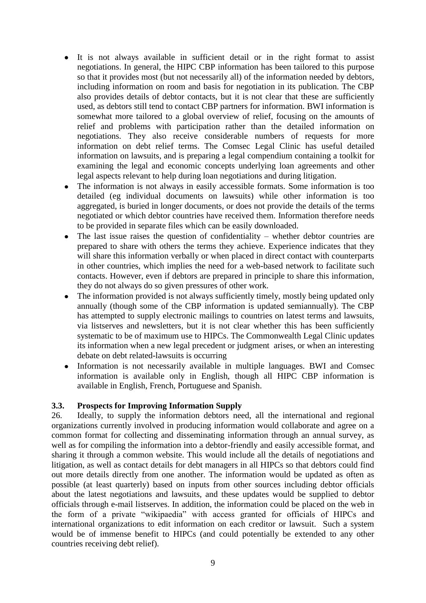- It is not always available in sufficient detail or in the right format to assist  $\bullet$ negotiations. In general, the HIPC CBP information has been tailored to this purpose so that it provides most (but not necessarily all) of the information needed by debtors, including information on room and basis for negotiation in its publication. The CBP also provides details of debtor contacts, but it is not clear that these are sufficiently used, as debtors still tend to contact CBP partners for information. BWI information is somewhat more tailored to a global overview of relief, focusing on the amounts of relief and problems with participation rather than the detailed information on negotiations. They also receive considerable numbers of requests for more information on debt relief terms. The Comsec Legal Clinic has useful detailed information on lawsuits, and is preparing a legal compendium containing a toolkit for examining the legal and economic concepts underlying loan agreements and other legal aspects relevant to help during loan negotiations and during litigation.
- The information is not always in easily accessible formats. Some information is too  $\bullet$ detailed (eg individual documents on lawsuits) while other information is too aggregated, is buried in longer documents, or does not provide the details of the terms negotiated or which debtor countries have received them. Information therefore needs to be provided in separate files which can be easily downloaded.
- The last issue raises the question of confidentiality whether debtor countries are  $\bullet$ prepared to share with others the terms they achieve. Experience indicates that they will share this information verbally or when placed in direct contact with counterparts in other countries, which implies the need for a web-based network to facilitate such contacts. However, even if debtors are prepared in principle to share this information, they do not always do so given pressures of other work.
- The information provided is not always sufficiently timely, mostly being updated only annually (though some of the CBP information is updated semiannually). The CBP has attempted to supply electronic mailings to countries on latest terms and lawsuits, via listserves and newsletters, but it is not clear whether this has been sufficiently systematic to be of maximum use to HIPCs. The Commonwealth Legal Clinic updates its information when a new legal precedent or judgment arises, or when an interesting debate on debt related-lawsuits is occurring
- Information is not necessarily available in multiple languages. BWI and Comsec  $\bullet$ information is available only in English, though all HIPC CBP information is available in English, French, Portuguese and Spanish.

#### <span id="page-12-0"></span>**3.3. Prospects for Improving Information Supply**

26. Ideally, to supply the information debtors need, all the international and regional organizations currently involved in producing information would collaborate and agree on a common format for collecting and disseminating information through an annual survey, as well as for compiling the information into a debtor-friendly and easily accessible format, and sharing it through a common website. This would include all the details of negotiations and litigation, as well as contact details for debt managers in all HIPCs so that debtors could find out more details directly from one another. The information would be updated as often as possible (at least quarterly) based on inputs from other sources including debtor officials about the latest negotiations and lawsuits, and these updates would be supplied to debtor officials through e-mail listserves. In addition, the information could be placed on the web in the form of a private "wikipaedia" with access granted for officials of HIPCs and international organizations to edit information on each creditor or lawsuit. Such a system would be of immense benefit to HIPCs (and could potentially be extended to any other countries receiving debt relief).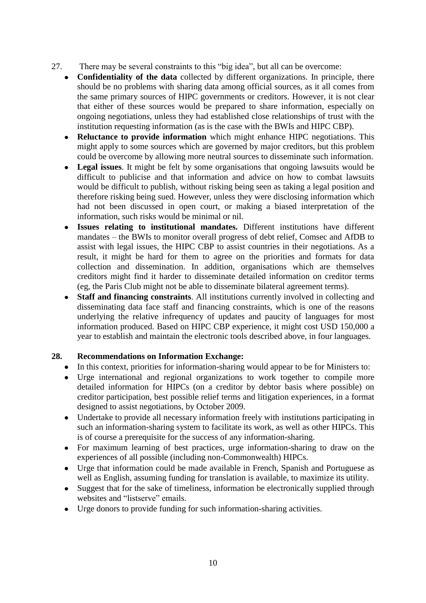- 27. There may be several constraints to this "big idea", but all can be overcome:
	- **Confidentiality of the data** collected by different organizations. In principle, there should be no problems with sharing data among official sources, as it all comes from the same primary sources of HIPC governments or creditors. However, it is not clear that either of these sources would be prepared to share information, especially on ongoing negotiations, unless they had established close relationships of trust with the institution requesting information (as is the case with the BWIs and HIPC CBP).
	- $\bullet$ **Reluctance to provide information** which might enhance HIPC negotiations. This might apply to some sources which are governed by major creditors, but this problem could be overcome by allowing more neutral sources to disseminate such information.
	- **Legal issues**. It might be felt by some organisations that ongoing lawsuits would be  $\bullet$ difficult to publicise and that information and advice on how to combat lawsuits would be difficult to publish, without risking being seen as taking a legal position and therefore risking being sued. However, unless they were disclosing information which had not been discussed in open court, or making a biased interpretation of the information, such risks would be minimal or nil.
	- **Issues relating to institutional mandates.** Different institutions have different  $\bullet$ mandates – the BWIs to monitor overall progress of debt relief, Comsec and AfDB to assist with legal issues, the HIPC CBP to assist countries in their negotiations. As a result, it might be hard for them to agree on the priorities and formats for data collection and dissemination. In addition, organisations which are themselves creditors might find it harder to disseminate detailed information on creditor terms (eg, the Paris Club might not be able to disseminate bilateral agreement terms).
	- **Staff and financing constraints**. All institutions currently involved in collecting and  $\bullet$ disseminating data face staff and financing constraints, which is one of the reasons underlying the relative infrequency of updates and paucity of languages for most information produced. Based on HIPC CBP experience, it might cost USD 150,000 a year to establish and maintain the electronic tools described above, in four languages.

# **28. Recommendations on Information Exchange:**

- In this context, priorities for information-sharing would appear to be for Ministers to:  $\bullet$
- Urge international and regional organizations to work together to compile more  $\bullet$ detailed information for HIPCs (on a creditor by debtor basis where possible) on creditor participation, best possible relief terms and litigation experiences, in a format designed to assist negotiations, by October 2009.
- Undertake to provide all necessary information freely with institutions participating in  $\bullet$ such an information-sharing system to facilitate its work, as well as other HIPCs. This is of course a prerequisite for the success of any information-sharing.
- For maximum learning of best practices, urge information-sharing to draw on the  $\bullet$ experiences of all possible (including non-Commonwealth) HIPCs.
- Urge that information could be made available in French, Spanish and Portuguese as  $\bullet$ well as English, assuming funding for translation is available, to maximize its utility.
- Suggest that for the sake of timeliness, information be electronically supplied through  $\bullet$ websites and "listserve" emails.
- Urge donors to provide funding for such information-sharing activities. $\bullet$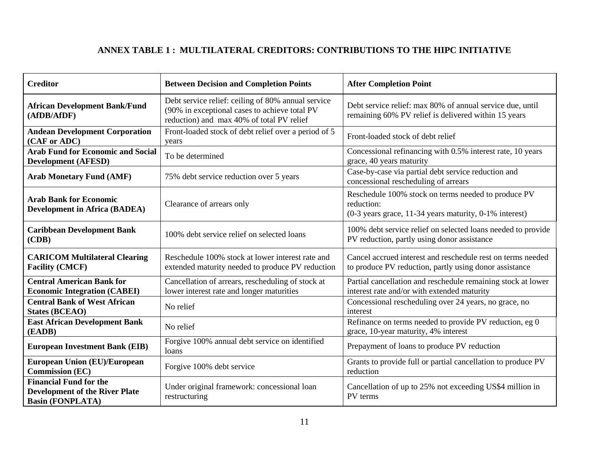# **ANNEX TABLE 1 : MULTILATERAL CREDITORS: CONTRIBUTIONS TO THE HIPC INITIATIVE**

<span id="page-14-0"></span>

| <b>Creditor</b>                                                                                   | <b>Between Decision and Completion Points</b>                                                                                                    | <b>After Completion Point</b>                                                                                               |  |  |
|---------------------------------------------------------------------------------------------------|--------------------------------------------------------------------------------------------------------------------------------------------------|-----------------------------------------------------------------------------------------------------------------------------|--|--|
| <b>African Development Bank/Fund</b><br>(AfDB/AfDF)                                               | Debt service relief: ceiling of 80% annual service<br>(90% in exceptional cases to achieve total PV<br>reduction) and max 40% of total PV relief | Debt service relief: max 80% of annual service due, until<br>remaining 60% PV relief is delivered within 15 years           |  |  |
| <b>Andean Development Corporation</b><br>(CAF or ADC)                                             | Front-loaded stock of debt relief over a period of 5<br>years                                                                                    | Front-loaded stock of debt relief                                                                                           |  |  |
| <b>Arab Fund for Economic and Social</b><br><b>Development (AFESD)</b>                            | To be determined                                                                                                                                 | Concessional refinancing with 0.5% interest rate, 10 years<br>grace, 40 years maturity                                      |  |  |
| <b>Arab Monetary Fund (AMF)</b>                                                                   | 75% debt service reduction over 5 years                                                                                                          | Case-by-case via partial debt service reduction and<br>concessional rescheduling of arrears                                 |  |  |
| <b>Arab Bank for Economic</b><br><b>Development in Africa (BADEA)</b>                             | Clearance of arrears only                                                                                                                        | Reschedule 100% stock on terms needed to produce PV<br>reduction:<br>(0-3 years grace, 11-34 years maturity, 0-1% interest) |  |  |
| <b>Caribbean Development Bank</b><br>(CDB)                                                        | 100% debt service relief on selected loans                                                                                                       | 100% debt service relief on selected loans needed to provide<br>PV reduction, partly using donor assistance                 |  |  |
| <b>CARICOM Multilateral Clearing</b><br><b>Facility (CMCF)</b>                                    | Reschedule 100% stock at lower interest rate and<br>extended maturity needed to produce PV reduction                                             | Cancel accrued interest and reschedule rest on terms needed<br>to produce PV reduction, partly using donor assistance       |  |  |
| <b>Central American Bank for</b><br><b>Economic Integration (CABEI)</b>                           | Cancellation of arrears, rescheduling of stock at<br>lower interest rate and longer maturities                                                   | Partial cancellation and reschedule remaining stock at lower<br>interest rate and/or with extended maturity                 |  |  |
| <b>Central Bank of West African</b><br><b>States (BCEAO)</b>                                      | No relief                                                                                                                                        | Concessional rescheduling over 24 years, no grace, no<br>interest                                                           |  |  |
| <b>East African Development Bank</b><br>(EADB)                                                    | No relief                                                                                                                                        | Refinance on terms needed to provide PV reduction, eg 0<br>grace, 10-year maturity, 4% interest                             |  |  |
| <b>European Investment Bank (EIB)</b>                                                             | Forgive 100% annual debt service on identified<br>loans                                                                                          | Prepayment of loans to produce PV reduction                                                                                 |  |  |
| <b>European Union (EU)/European</b><br><b>Commission (EC)</b>                                     | Forgive 100% debt service                                                                                                                        | Grants to provide full or partial cancellation to produce PV<br>reduction                                                   |  |  |
| <b>Financial Fund for the</b><br><b>Development of the River Plate</b><br><b>Basin (FONPLATA)</b> | Under original framework: concessional loan<br>restructuring                                                                                     | Cancellation of up to 25% not exceeding US\$4 million in<br>PV terms                                                        |  |  |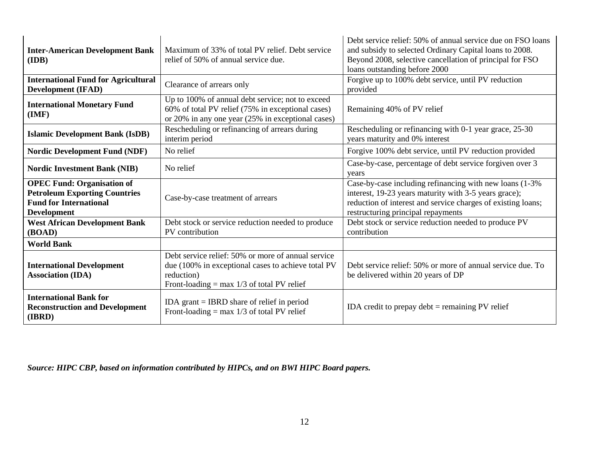| <b>Inter-American Development Bank</b><br>(IDB)                                                                                  | Maximum of 33% of total PV relief. Debt service<br>relief of 50% of annual service due.                                                                                | Debt service relief: 50% of annual service due on FSO loans<br>and subsidy to selected Ordinary Capital loans to 2008.<br>Beyond 2008, selective cancellation of principal for FSO<br>loans outstanding before 2000     |  |  |
|----------------------------------------------------------------------------------------------------------------------------------|------------------------------------------------------------------------------------------------------------------------------------------------------------------------|-------------------------------------------------------------------------------------------------------------------------------------------------------------------------------------------------------------------------|--|--|
| <b>International Fund for Agricultural</b><br><b>Development (IFAD)</b>                                                          | Clearance of arrears only                                                                                                                                              | Forgive up to 100% debt service, until PV reduction<br>provided                                                                                                                                                         |  |  |
| <b>International Monetary Fund</b><br>(IMF)                                                                                      | Up to 100% of annual debt service; not to exceed<br>60% of total PV relief (75% in exceptional cases)<br>or 20% in any one year (25% in exceptional cases)             | Remaining 40% of PV relief                                                                                                                                                                                              |  |  |
| <b>Islamic Development Bank (IsDB)</b>                                                                                           | Rescheduling or refinancing of arrears during<br>interim period                                                                                                        | Rescheduling or refinancing with 0-1 year grace, 25-30<br>years maturity and 0% interest                                                                                                                                |  |  |
| <b>Nordic Development Fund (NDF)</b>                                                                                             | No relief                                                                                                                                                              | Forgive 100% debt service, until PV reduction provided                                                                                                                                                                  |  |  |
| <b>Nordic Investment Bank (NIB)</b>                                                                                              | No relief                                                                                                                                                              | Case-by-case, percentage of debt service forgiven over 3<br>years                                                                                                                                                       |  |  |
| <b>OPEC Fund: Organisation of</b><br><b>Petroleum Exporting Countries</b><br><b>Fund for International</b><br><b>Development</b> | Case-by-case treatment of arrears                                                                                                                                      | Case-by-case including refinancing with new loans (1-3%)<br>interest, 19-23 years maturity with 3-5 years grace);<br>reduction of interest and service charges of existing loans;<br>restructuring principal repayments |  |  |
| <b>West African Development Bank</b><br>(BOAD)                                                                                   | Debt stock or service reduction needed to produce<br>PV contribution                                                                                                   | Debt stock or service reduction needed to produce PV<br>contribution                                                                                                                                                    |  |  |
| <b>World Bank</b>                                                                                                                |                                                                                                                                                                        |                                                                                                                                                                                                                         |  |  |
| <b>International Development</b><br><b>Association (IDA)</b>                                                                     | Debt service relief: 50% or more of annual service<br>due (100% in exceptional cases to achieve total PV<br>reduction)<br>Front-loading = max $1/3$ of total PV relief | Debt service relief: 50% or more of annual service due. To<br>be delivered within 20 years of DP                                                                                                                        |  |  |
| <b>International Bank for</b><br><b>Reconstruction and Development</b><br>(IBRD)                                                 | IDA grant $=$ IBRD share of relief in period<br>Front-loading = max $1/3$ of total PV relief                                                                           | IDA credit to prepay debt $=$ remaining PV relief                                                                                                                                                                       |  |  |

*Source: HIPC CBP, based on information contributed by HIPCs, and on BWI HIPC Board papers.*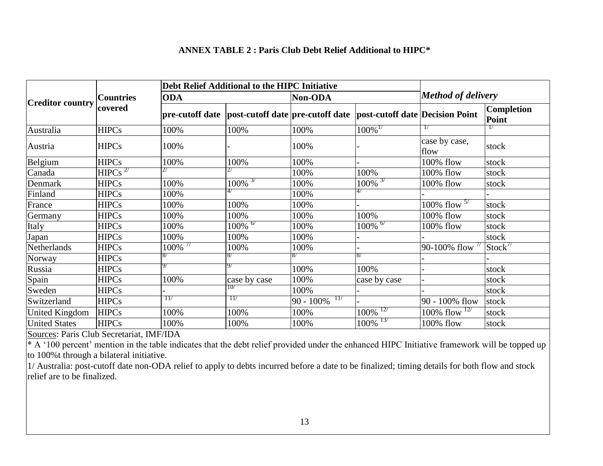#### **ANNEX TABLE 2 : Paris Club Debt Relief Additional to HIPC\***

|                         | <b>Countries</b>      |                       | Debt Relief Additional to the HIPC Initiative |                     |                                                                                      |                            |                     |
|-------------------------|-----------------------|-----------------------|-----------------------------------------------|---------------------|--------------------------------------------------------------------------------------|----------------------------|---------------------|
|                         |                       | <b>ODA</b>            |                                               | Non-ODA             |                                                                                      | <b>Method of delivery</b>  |                     |
| <b>Creditor country</b> | covered               |                       |                                               |                     | pre-cutoff date  post-cutoff date  pre-cutoff date  post-cutoff date  Decision Point |                            | Completion<br>Point |
| Australia               | <b>HIPCs</b>          | 100%                  | 100%                                          | 100%                | $100\%$ <sup>1/</sup>                                                                | $\frac{1}{2}$              | $\frac{1}{2}$       |
| Austria                 | <b>HIPCs</b>          | 100%                  |                                               | 100%                |                                                                                      | case by case,<br>flow      | stock               |
| Belgium                 | <b>HIPCs</b>          | 100%                  | 100%                                          | 100%                |                                                                                      | 100% flow                  | stock               |
| Canada                  | $HIPCs$ <sup>27</sup> |                       |                                               | 100%                | 100%                                                                                 | 100% flow                  | stock               |
| Denmark                 | <b>HIPCs</b>          | 100%                  | $100\%$ <sup>37</sup>                         | 100%                | $100\%$ <sup>3/</sup>                                                                | 100% flow                  | stock               |
| Finland                 | <b>HIPCs</b>          | 100%                  | 4/                                            | 100%                | 4/                                                                                   |                            |                     |
| France                  | <b>HIPCs</b>          | 100%                  | 100%                                          | 100%                |                                                                                      | $100\%$ flow $5\%$         | stock               |
| Germany                 | <b>HIPCs</b>          | 100%                  | 100%                                          | 100%                | 100%                                                                                 | 100% flow                  | stock               |
| Italy                   | <b>HIPCs</b>          | 100%                  | $100\%$ <sup>6/</sup>                         | 100%                | $100\%$ <sup>6/</sup>                                                                | 100% flow                  | stock               |
| Japan                   | <b>HIPCs</b>          | 100%                  | 100%                                          | 100%                |                                                                                      |                            | stock               |
| Netherlands             | <b>HIPCs</b>          | $100\%$ <sup>77</sup> | 100%                                          | 100%                |                                                                                      | 90-100% flow $\frac{7}{1}$ | Stock <sup>7</sup>  |
| Norway                  | <b>HIPCs</b>          |                       | 8/                                            | 8/                  | 8/                                                                                   |                            |                     |
| Russia                  | <b>HIPCs</b>          | 9/                    | 9/                                            | 100%                | 100%                                                                                 |                            | stock               |
| Spain                   | <b>HIPCs</b>          | 100%                  | case by case                                  | 100%                | case by case                                                                         |                            | stock               |
| Sweden                  | <b>HIPCs</b>          |                       | 10/                                           | 100%                |                                                                                      |                            | stock               |
| Switzerland             | <b>HIPCs</b>          | 11/                   | 11/                                           | 11/<br>$90 - 100\%$ |                                                                                      | 90 - 100% flow             | stock               |
| United Kingdom          | <b>HIPCs</b>          | 100%                  | 100%                                          | 100%                | $100\%$ <sup>12/</sup>                                                               | 100% flow $127$            | stock               |
| <b>United States</b>    | <b>HIPCs</b>          | 100%                  | 100%                                          | 100%                | $100\%$ <sup>137</sup>                                                               | 100% flow                  | stock               |

<span id="page-16-0"></span>Sources: Paris Club Secretariat, IMF/IDA

 $* A$  '100 percent' mention in the table indicates that the debt relief provided under the enhanced HIPC Initiative framework will be topped up to 100%t through a bilateral initiative.

1/ Australia: post-cutoff date non-ODA relief to apply to debts incurred before a date to be finalized; timing details for both flow and stock relief are to be finalized.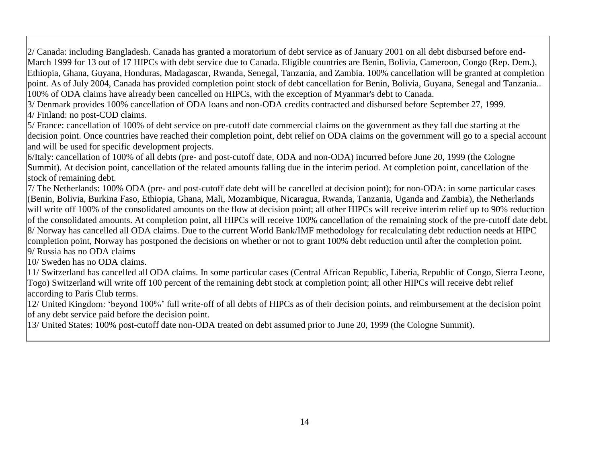2/ Canada: including Bangladesh. Canada has granted a moratorium of debt service as of January 2001 on all debt disbursed before end-March 1999 for 13 out of 17 HIPCs with debt service due to Canada. Eligible countries are Benin, Bolivia, Cameroon, Congo (Rep. Dem.), Ethiopia, Ghana, Guyana, Honduras, Madagascar, Rwanda, Senegal, Tanzania, and Zambia. 100% cancellation will be granted at completion point. As of July 2004, Canada has provided completion point stock of debt cancellation for Benin, Bolivia, Guyana, Senegal and Tanzania.. 100% of ODA claims have already been cancelled on HIPCs, with the exception of Myanmar's debt to Canada.

3/ Denmark provides 100% cancellation of ODA loans and non-ODA credits contracted and disbursed before September 27, 1999.

4/ Finland: no post-COD claims.

5/ France: cancellation of 100% of debt service on pre-cutoff date commercial claims on the government as they fall due starting at the decision point. Once countries have reached their completion point, debt relief on ODA claims on the government will go to a special account and will be used for specific development projects.

6/Italy: cancellation of 100% of all debts (pre- and post-cutoff date, ODA and non-ODA) incurred before June 20, 1999 (the Cologne Summit). At decision point, cancellation of the related amounts falling due in the interim period. At completion point, cancellation of the stock of remaining debt.

7/ The Netherlands: 100% ODA (pre- and post-cutoff date debt will be cancelled at decision point); for non-ODA: in some particular cases (Benin, Bolivia, Burkina Faso, Ethiopia, Ghana, Mali, Mozambique, Nicaragua, Rwanda, Tanzania, Uganda and Zambia), the Netherlands will write off 100% of the consolidated amounts on the flow at decision point; all other HIPCs will receive interim relief up to 90% reduction of the consolidated amounts. At completion point, all HIPCs will receive 100% cancellation of the remaining stock of the pre-cutoff date debt. 8/ Norway has cancelled all ODA claims. Due to the current World Bank/IMF methodology for recalculating debt reduction needs at HIPC completion point, Norway has postponed the decisions on whether or not to grant 100% debt reduction until after the completion point.

9/ Russia has no ODA claims

10/ Sweden has no ODA claims.

11/ Switzerland has cancelled all ODA claims. In some particular cases (Central African Republic, Liberia, Republic of Congo, Sierra Leone, Togo) Switzerland will write off 100 percent of the remaining debt stock at completion point; all other HIPCs will receive debt relief according to Paris Club terms.

12/ United Kingdom: "beyond 100%" full write-off of all debts of HIPCs as of their decision points, and reimbursement at the decision point of any debt service paid before the decision point.

13/ United States: 100% post-cutoff date non-ODA treated on debt assumed prior to June 20, 1999 (the Cologne Summit).